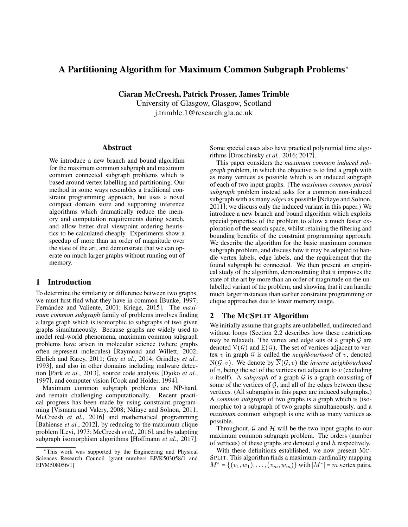# A Partitioning Algorithm for Maximum Common Subgraph Problems<sup>∗</sup>

Ciaran McCreesh, Patrick Prosser, James Trimble

University of Glasgow, Glasgow, Scotland j.trimble.1@research.gla.ac.uk

#### Abstract

We introduce a new branch and bound algorithm for the maximum common subgraph and maximum common connected subgraph problems which is based around vertex labelling and partitioning. Our method in some ways resembles a traditional constraint programming approach, but uses a novel compact domain store and supporting inference algorithms which dramatically reduce the memory and computation requirements during search, and allow better dual viewpoint ordering heuristics to be calculated cheaply. Experiments show a speedup of more than an order of magnitude over the state of the art, and demonstrate that we can operate on much larger graphs without running out of memory.

## 1 Introduction

To determine the similarity or difference between two graphs, we must first find what they have in common [Bunke, 1997; Fernández and Valiente, 2001; Kriege, 2015]. The *maximum common subgraph* family of problems involves finding a large graph which is isomorphic to subgraphs of two given graphs simultaneously. Because graphs are widely used to model real-world phenomena, maximum common subgraph problems have arisen in molecular science (where graphs often represent molecules) [Raymond and Willett, 2002; Ehrlich and Rarey, 2011; Gay *et al.*, 2014; Grindley *et al.*, 1993], and also in other domains including malware detection [Park *et al.*, 2013], source code analysis [Djoko *et al.*, 1997], and computer vision [Cook and Holder, 1994].

Maximum common subgraph problems are NP-hard, and remain challenging computationally. Recent practical progress has been made by using constraint programming [Vismara and Valery, 2008; Ndiaye and Solnon, 2011; McCreesh *et al.*, 2016] and mathematical programming [Bahiense *et al.*, 2012], by reducing to the maximum clique problem [Levi, 1973; McCreesh *et al.*, 2016], and by adapting subgraph isomorphism algorithms [Hoffmann *et al.*, 2017]. Some special cases also have practical polynomial time algorithms [Droschinsky *et al.*, 2016; 2017].

This paper considers the *maximum common induced subgraph* problem, in which the objective is to find a graph with as many vertices as possible which is an induced subgraph of each of two input graphs. (The *maximum common partial subgraph* problem instead asks for a common non-induced subgraph with as many *edges* as possible [Ndiaye and Solnon, 2011]; we discuss only the induced variant in this paper.) We introduce a new branch and bound algorithm which exploits special properties of the problem to allow a much faster exploration of the search space, whilst retaining the filtering and bounding benefits of the constraint programming approach. We describe the algorithm for the basic maximum common subgraph problem, and discuss how it may be adapted to handle vertex labels, edge labels, and the requirement that the found subgraph be connected. We then present an empirical study of the algorithm, demonstrating that it improves the state of the art by more than an order of magnitude on the unlabelled variant of the problem, and showing that it can handle much larger instances than earlier constraint programming or clique approaches due to lower memory usage.

### 2 The MCSPLIT Algorithm

We initially assume that graphs are unlabelled, undirected and without loops (Section 2.2 describes how these restrictions may be relaxed). The vertex and edge sets of a graph  $G$  are denoted  $V(G)$  and  $E(G)$ . The set of vertices adjacent to vertex  $v$  in graph  $G$  is called the *neighbourhood* of  $v$ , denoted  $N(\mathcal{G}, v)$ . We denote by  $\overline{N}(\mathcal{G}, v)$  the *inverse neighbourhood* of  $v$ , being the set of the vertices not adjacent to  $v$  (excluding v itself). A *subgraph* of a graph  $G$  is a graph consisting of some of the vertices of  $G$ , and all of the edges between these vertices. (All subgraphs in this paper are induced subgraphs.) A *common subgraph* of two graphs is a graph which is (isomorphic to) a subgraph of two graphs simultaneously, and a *maximum* common subgraph is one with as many vertices as possible.

Throughout,  $\mathcal G$  and  $\mathcal H$  will be the two input graphs to our maximum common subgraph problem. The orders (number of vertices) of these graphs are denoted  $g$  and  $h$  respectively.

With these definitions established, we now present MC-SPLIT. This algorithm finds a maximum-cardinality mapping  $M^* = \{(v_1, w_1), \ldots, (v_m, w_m)\}\$  with  $|M^*| = m$  vertex pairs,

<sup>∗</sup>This work was supported by the Engineering and Physical Sciences Research Council [grant numbers EP/K503058/1 and EP/M508056/1]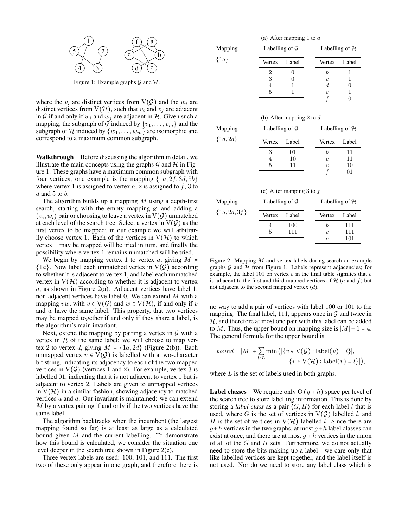

Figure 1: Example graphs  $\mathcal G$  and  $\mathcal H$ .

where the  $v_i$  are distinct vertices from  $V(\mathcal{G})$  and the  $w_i$  are distinct vertices from  $V(\mathcal{H})$ , such that  $v_i$  and  $v_j$  are adjacent in G if and only if  $w_i$  and  $w_j$  are adjacent in H. Given such a mapping, the subgraph of G induced by  $\{v_1, \ldots, v_m\}$  and the subgraph of H induced by  $\{w_1, \ldots, w_m\}$  are isomorphic and correspond to a maximum common subgraph.

Walkthrough Before discussing the algorithm in detail, we illustrate the main concepts using the graphs  $G$  and  $H$  in Figure 1. These graphs have a maximum common subgraph with four vertices; one example is the mapping  $\{1a, 2f, 3d, 5b\}$ where vertex 1 is assigned to vertex  $a$ , 2 is assigned to  $f$ , 3 to  $d$  and  $5$  to  $b$ .

The algorithm builds up a mapping  $M$  using a depth-first search, starting with the empty mapping  $\varnothing$  and adding a  $(v_i, w_i)$  pair or choosing to leave a vertex in  $V(G)$  unmatched at each level of the search tree. Select a vertex in  $V(G)$  as the first vertex to be mapped; in our example we will arbitrarily choose vertex 1. Each of the vertices in  $V(\mathcal{H})$  to which vertex 1 may be mapped will be tried in turn, and finally the possibility where vertex 1 remains unmatched will be tried.

We begin by mapping vertex 1 to vertex  $a$ , giving  $M =$  $\{1a\}$ . Now label each unmatched vertex in  $V(G)$  according to whether it is adjacent to vertex 1, and label each unmatched vertex in  $V(\mathcal{H})$  according to whether it is adjacent to vertex  $a$ , as shown in Figure 2(a). Adjacent vertices have label 1; non-adjacent vertices have label 0. We can extend  $M$  with a mapping vw, with  $v \in V(G)$  and  $w \in V(H)$ , if and only if v and  $w$  have the same label. This property, that two vertices may be mapped together if and only if they share a label, is the algorithm's main invariant.

Next, extend the mapping by pairing a vertex in  $G$  with a vertex in  $H$  of the same label; we will choose to map vertex 2 to vertex d, giving  $M = \{1a, 2d\}$  (Figure 2(b)). Each unmapped vertex  $v \in V(G)$  is labelled with a two-character bit string, indicating its adjacency to each of the two mapped vertices in  $V(G)$  (vertices 1 and 2). For example, vertex 3 is labelled 01, indicating that it is not adjacent to vertex 1 but is adjacent to vertex 2. Labels are given to unmapped vertices in  $V(H)$  in a similar fashion, showing adjacency to matched vertices a and d. Our invariant is maintained: we can extend M by a vertex pairing if and only if the two vertices have the same label.

The algorithm backtracks when the incumbent (the largest mapping found so far) is at least as large as a calculated bound given  $M$  and the current labelling. To demonstrate how this bound is calculated, we consider the situation one level deeper in the search tree shown in Figure 2(c).

Three vertex labels are used: 100, 101, and 111. The first two of these only appear in one graph, and therefore there is

(a) After mapping 1 to  $a$ 

| Mapping  | Labelling of $\mathcal G$ |       |               | Labelling of $H$ |  |
|----------|---------------------------|-------|---------------|------------------|--|
| $\{1a\}$ | Vertex                    | Label | Vertex        | Label            |  |
|          |                           |       |               |                  |  |
|          | 3                         |       | $\mathfrak c$ |                  |  |
|          |                           |       | d.            |                  |  |
|          | 5                         |       | e             |                  |  |
|          |                           |       |               |                  |  |

#### (b) After mapping 2 to  $d$

| Mapping     | Labelling of $\mathcal G$ |       |               | Labelling of $H$ |  |
|-------------|---------------------------|-------|---------------|------------------|--|
| $\{1a,2d\}$ | Vertex                    | Label | Vertex        | Label            |  |
|             | 3                         | 01    |               | 11               |  |
|             | 4                         | 10    | $\mathfrak c$ | 11               |  |
|             | 5                         | 11    | e             | 10               |  |
|             |                           |       |               | 01               |  |

(c) After mapping 3 to  $f$ 

| Mapping          | Labelling of $\mathcal G$ |       | Labelling of $H$ |       |  |
|------------------|---------------------------|-------|------------------|-------|--|
| $\{1a, 2d, 3f\}$ | Vertex                    | Label | Vertex           | Label |  |
|                  | 4                         | 100   |                  | 111   |  |
|                  | 5                         | 111   | $\mathfrak{c}$   | 111   |  |
|                  |                           |       | $\epsilon$       | 101   |  |

Figure 2: Mapping M and vertex labels during search on example graphs  $G$  and  $H$  from Figure 1. Labels represent adjacencies; for example, the label 101 on vertex  $e$  in the final table signifies that  $e$ is adjacent to the first and third mapped vertices of  $H(a \text{ and } f)$  but not adjacent to the second mapped vertex (d).

no way to add a pair of vertices with label 100 or 101 to the mapping. The final label, 111, appears once in  $G$  and twice in  $H$ , and therefore at most one pair with this label can be added to M. Thus, the upper bound on mapping size is  $|M| + 1 = 4$ . The general formula for the upper bound is

$$
bound = |M| + \sum_{l \in L} \min\left(|\{v \in V(\mathcal{G}): \text{label}(v) = l\}|, \left|\{v \in V(\mathcal{H}): \text{label}(v) = l\}|\right|\right),\
$$

where  $L$  is the set of labels used in both graphs.

**Label classes** We require only  $O(g + h)$  space per level of the search tree to store labelling information. This is done by storing a *label class* as a pair  $\langle G, H \rangle$  for each label *l* that is used, where G is the set of vertices in  $V(G)$  labelled l, and H is the set of vertices in  $V(\mathcal{H})$  labelled l. Since there are  $q+h$  vertices in the two graphs, at most  $q+h$  label classes can exist at once, and there are at most  $q + h$  vertices in the union of all of the  $G$  and  $H$  sets. Furthermore, we do not actually need to store the bits making up a label—we care only that like-labelled vertices are kept together, and the label itself is not used. Nor do we need to store any label class which is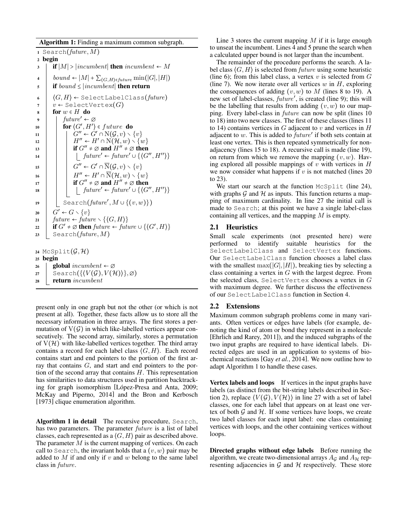Algorithm 1: Finding a maximum common subgraph.

```
1 Search(future, M)2 begin
\mathbf{3} | if |M| > |incumbent| then incumbent \leftarrow M4 \downarrow bound ← |M| + \sum_{(G,H)\in future} \min(|G|, |H|)5 if bound ≤ ∣incumbent∣ then return
6 \langle G, H \rangle \leftarrow SelectLabelClass(future)
7 v \leftarrow SelectVertex(G)\mathbf{s} for w \in H do
              future' \leftarrow \emptyset10 for \langle G', H' \rangle \in future do
11 \mid \cdot \cdot \cdot | G'' \leftarrow G' \cap N(G, v) \setminus \{v\}12 \vert \vert \vert H'' \leftarrow H' \cap N(H, w) \setminus \{w\}13 if G'' \neq \emptyset and H'' \neq \emptyset then
14 \vert \vert \vert future' ← future' \cup \{ \langle G'', H'' \rangle \}15 \vert G'' \leftarrow G' \cap \overline{\mathcal{N}}(\mathcal{G}, v) \setminus \{v\}16 H'' \leftarrow H' \cap \overline{\mathcal{N}}(\mathcal{H}, w) \setminus \{w\}17 if G'' \neq \emptyset and H'' \neq \emptyset then
18 \vert \vert \vert \vert future' ← future' \cup {\langle G'', H'' \rangle}
19 Search(fature', M \cup \{(v, w)\})20 G' \leftarrow G \setminus \{v\}21 \vert future ← future \setminus \{ \langle G, H \rangle \}22 if G' \neq \emptyset then future \leftarrow future \cup \{\langle G', H \rangle\}23 Search(future, M)24 McSplit(\mathcal{G},\mathcal{H})25 begin
26 global incumbent \leftarrow \varnothing
```
27 Search $({\{V(\mathcal{G}), V(\mathcal{H})\}}, \varnothing)$ 28 return *incumbent* 

present only in one graph but not the other (or which is not present at all). Together, these facts allow us to store all the necessary information in three arrays. The first stores a permutation of  $V(G)$  in which like-labelled vertices appear consecutively. The second array, similarly, stores a permutation of  $V(H)$  with like-labelled vertices together. The third array contains a record for each label class  $\langle G, H \rangle$ . Each record contains start and end pointers to the portion of the first array that contains G, and start and end pointers to the portion of the second array that contains  $H$ . This representation has similarities to data structures used in partition backtracking for graph isomorphism [López-Presa and Anta, 2009; McKay and Piperno, 2014] and the Bron and Kerbosch [1973] clique enumeration algorithm.

Algorithm 1 in detail The recursive procedure, Search, has two parameters. The parameter *future* is a list of label classes, each represented as a  $\langle G, H \rangle$  pair as described above. The parameter  $M$  is the current mapping of vertices. On each call to Search, the invariant holds that a  $(v, w)$  pair may be added to  $M$  if and only if  $v$  and  $w$  belong to the same label class in future.

Line 3 stores the current mapping  $M$  if it is large enough to unseat the incumbent. Lines 4 and 5 prune the search when a calculated upper bound is not larger than the incumbent.

The remainder of the procedure performs the search. A label class  $\langle G, H \rangle$  is selected from *future* using some heuristic (line 6); from this label class, a vertex  $v$  is selected from  $G$ (line 7). We now iterate over all vertices  $w$  in  $H$ , exploring the consequences of adding  $(v, w)$  to M (lines 8 to 19). A new set of label-classes,  $future'$ , is created (line 9); this will be the labelling that results from adding  $(v, w)$  to our mapping. Every label-class in future can now be split (lines 10 to 18) into two new classes. The first of these classes (lines 11 to 14) contains vertices in  $G$  adjacent to  $v$  and vertices in  $H$ adjacent to  $w$ . This is added to  $future'$  if both sets contain at least one vertex. This is then repeated symmetrically for nonadjacency (lines 15 to 18). A recursive call is made (line 19), on return from which we remove the mapping  $(v, w)$ . Having explored all possible mappings of  $v$  with vertices in  $H$ we now consider what happens if  $v$  is not matched (lines 20 to 23).

We start our search at the function McSplit (line 24), with graphs  $G$  and  $H$  as inputs. This function returns a mapping of maximum cardinality. In line 27 the initial call is made to Search; at this point we have a single label-class containing all vertices, and the mapping M is empty.

## 2.1 Heuristics

Small scale experiments (not presented here) were performed to identify suitable heuristics for the SelectLabelClass and SelectVertex functions. Our SelectLabelClass function chooses a label class with the smallest max $(|G|, |H|)$ , breaking ties by selecting a class containing a vertex in  $G$  with the largest degree. From the selected class, SelectVertex chooses a vertex in  $G$ with maximum degree. We further discuss the effectiveness of our SelectLabelClass function in Section 4.

## 2.2 Extensions

Maximum common subgraph problems come in many variants. Often vertices or edges have labels (for example, denoting the kind of atom or bond they represent in a molecule [Ehrlich and Rarey, 2011]), and the induced subgraphs of the two input graphs are required to have identical labels. Directed edges are used in an application to systems of biochemical reactions [Gay *et al.*, 2014]. We now outline how to adapt Algorithm 1 to handle these cases.

Vertex labels and loops If vertices in the input graphs have labels (as distinct from the bit-string labels described in Section 2), replace  $\langle V(\mathcal{G}), V(\mathcal{H}) \rangle$  in line 27 with a set of label classes, one for each label that appears on at least one vertex of both  $\mathcal G$  and  $\mathcal H$ . If some vertices have loops, we create two label classes for each input label: one class containing vertices with loops, and the other containing vertices without loops.

Directed graphs without edge labels Before running the algorithm, we create two-dimensional arrays  $A_G$  and  $A_H$  representing adjacencies in  $G$  and  $H$  respectively. These store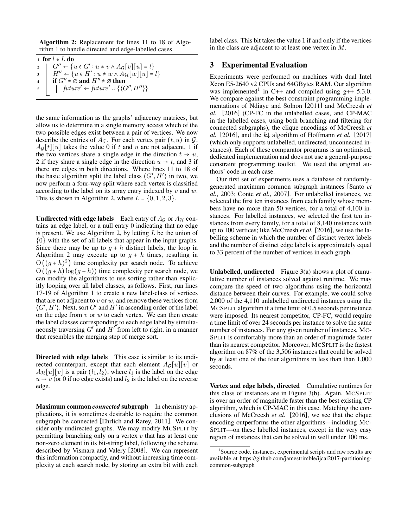Algorithm 2: Replacement for lines 11 to 18 of Algorithm 1 to handle directed and edge-labelled cases.

1 for  $l \in L$  do 2  $G'' \leftarrow \{u \in G' : u \neq v \land Ag[v][u] = l\}$  $\begin{array}{c} \mathbf{3} \end{array} \begin{array}{c} H'' \leftarrow \{u \in H': u \neq w \wedge A_{\mathcal{H}}[w][u] = l\} \end{array}$ 4 if  $G'' \neq \emptyset$  and  $H'' \neq \emptyset$  then  $\begin{array}{c|c} \text{5} & | & | & future' \leftarrow future' \cup \{\langle G'', H'' \rangle\} \end{array}$ 

the same information as the graphs' adjacency matrices, but allow us to determine in a single memory access which of the two possible edges exist between a pair of vertices. We now describe the entries of  $A_G$ . For each vertex pair  $(t, u)$  in  $\mathcal{G}$ ,  $A_G[t][u]$  takes the value 0 if t and u are not adjacent, 1 if the two vertices share a single edge in the direction  $t \to u$ , 2 if they share a single edge in the direction  $u \rightarrow t$ , and 3 if there are edges in both directions. Where lines 11 to 18 of the basic algorithm split the label class  $\langle G', H' \rangle$  in two, we now perform a four-way split where each vertex is classified according to the label on its array entry indexed by  $v$  and  $w$ . This is shown in Algorithm 2, where  $L = \{0, 1, 2, 3\}.$ 

**Undirected with edge labels** Each entry of  $A<sub>G</sub>$  or  $A<sub>H</sub>$  contains an edge label, or a null entry 0 indicating that no edge is present. We use Algorithm 2, by letting  $L$  be the union of {0} with the set of all labels that appear in the input graphs. Since there may be up to  $g + h$  distinct labels, the loop in Algorithm 2 may execute up to  $g + h$  times, resulting in  $O((g+h)^2)$  time complexity per search node. To achieve  $O((g+h) \log(g+h))$  time complexity per search node, we can modify the algorithms to use sorting rather than explicitly looping over all label classes, as follows. First, run lines 17-19 of Algorithm 1 to create a new label-class of vertices that are not adjacent to  $v$  or  $w$ , and remove these vertices from  $\langle G', H' \rangle$ . Next, sort G' and H' in ascending order of the label on the edge from  $v$  or  $w$  to each vertex. We can then create the label classes corresponding to each edge label by simultaneously traversing  $G'$  and  $H'$  from left to right, in a manner that resembles the merging step of merge sort.

Directed with edge labels This case is similar to its undirected counterpart, except that each element  $A_{\mathcal{G}}[u][v]$  or  $A_{\mathcal{H}}[u][v]$  is a pair  $(l_1,l_2)$ , where  $l_1$  is the label on the edge  $u \rightarrow v$  (or 0 if no edge exists) and  $l_2$  is the label on the reverse edge.

Maximum common *connected* subgraph In chemistry applications, it is sometimes desirable to require the common subgraph be connected [Ehrlich and Rarey, 2011]. We consider only undirected graphs. We may modify MCSPLIT by permitting branching only on a vertex  $v$  that has at least one non-zero element in its bit-string label, following the scheme described by Vismara and Valery [2008]. We can represent this information compactly, and without increasing time complexity at each search node, by storing an extra bit with each label class. This bit takes the value 1 if and only if the vertices in the class are adjacent to at least one vertex in M.

## 3 Experimental Evaluation

Experiments were performed on machines with dual Intel Xeon E5-2640 v2 CPUs and 64GBytes RAM. Our algorithm was implemented<sup>1</sup> in C++ and compiled using  $g++$  5.3.0. We compare against the best constraint programming implementations of Ndiaye and Solnon [2011] and McCreesh *et al.* [2016] (CP-FC in the unlabelled cases, and CP-MAC in the labelled cases, using both branching and filtering for connected subgraphs), the clique encodings of McCreesh *et al.* [2016], and the  $k\downarrow$  algorithm of Hoffmann *et al.* [2017] (which only supports unlabelled, undirected, unconnected instances). Each of these comparator programs is an optimised, dedicated implementation and does not use a general-purpose constraint programming toolkit. We used the original authors' code in each case.

Our first set of experiments uses a database of randomlygenerated maximum common subgraph instances [Santo *et al.*, 2003; Conte *et al.*, 2007]. For unlabelled instances, we selected the first ten instances from each family whose members have no more than 50 vertices, for a total of 4,100 instances. For labelled instances, we selected the first ten instances from every family, for a total of 8,140 instances with up to 100 vertices; like McCreesh *et al.* [2016], we use the labelling scheme in which the number of distinct vertex labels and the number of distinct edge labels is approximately equal to 33 percent of the number of vertices in each graph.

**Unlabelled, undirected** Figure  $3(a)$  shows a plot of cumulative number of instances solved against runtime. We may compare the speed of two algorithms using the horizontal distance between their curves. For example, we could solve 2,000 of the 4,110 unlabelled undirected instances using the MCSPLIT algorithm if a time limit of 0.5 seconds per instance were imposed. Its nearest competitor, CP-FC, would require a time limit of over 24 seconds per instance to solve the same number of instances. For any given number of instances, MC-SPLIT is comfortably more than an order of magnitude faster than its nearest competitor. Moreover, MCSPLIT is the fastest algorithm on 87% of the 3,506 instances that could be solved by at least one of the four algorithms in less than than 1,000 seconds.

Vertex and edge labels, directed Cumulative runtimes for this class of instances are in Figure 3(b). Again, MCSPLIT is over an order of magnitude faster than the best existing CP algorithm, which is CP-MAC in this case. Matching the conclusions of McCreesh *et al.* [2016], we see that the clique encoding outperforms the other algorithms—including MC-SPLIT—on these labelled instances, except in the very easy region of instances that can be solved in well under 100 ms.

<sup>1</sup> Source code, instances, experimental scripts and raw results are available at https://github.com/jamestrimble/ijcai2017-partitioningcommon-subgraph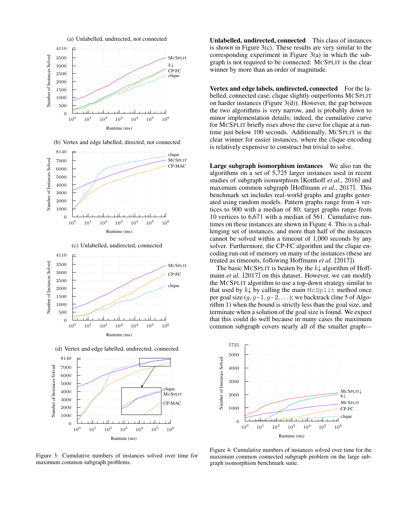

(b) Vertex and edge labelled, directed, not connected



(c) Unlabelled, undirected, connected



(d) Vertex and edge labelled, undirected, connected



Figure 3: Cumulative numbers of instances solved over time for maximum common subgraph problems.

Unlabelled, undirected, connected This class of instances is shown in Figure  $3(c)$ . These results are very similar to the corresponding experiment in Figure 3(a) in which the subgraph is not required to be connected: MCSPLIT is the clear winner by more than an order of magnitude.

Vertex and edge labels, undirected, connected For the labelled, connected case, clique slightly outperforms MCSPLIT on harder instances (Figure 3(d)). However, the gap between the two algorithms is very narrow, and is probably down to minor implementation details; indeed, the cumulative curve for MCSPLIT briefly rises above the curve for clique at a runtime just below 100 seconds. Additionally, MCSPLIT is the clear winner for easier instances, where the clique encoding is relatively expensive to construct but trivial to solve.

Large subgraph isomorphism instances We also ran the algorithms on a set of 5,725 larger instances used in recent studies of subgraph isomorphism [Kotthoff *et al.*, 2016] and maximum common subgraph [Hoffmann *et al.*, 2017]. This benchmark set includes real-world graphs and graphs generated using random models. Pattern graphs range from 4 vertices to 900 with a median of 80; target graphs range from 10 vertices to 6,671 with a median of 561. Cumulative runtimes on these instances are shown in Figure 4. This is a challenging set of instances, and more than half of the instances cannot be solved within a timeout of 1,000 seconds by any solver. Furthermore, the CP-FC algorithm and the clique encoding run out of memory on many of the instances (these are treated as timeouts, following Hoffmann *et al.* [2017]).

The basic MCSPLIT is beaten by the  $k\downarrow$  algorithm of Hoffmann *et al.* [2017] on this dataset. However, we can modify the MCSPLIT algorithm to use a top-down strategy similar to that used by  $k\downarrow$  by calling the main McSplit method once per goal size  $(g, g-1, g-2, ...)$ ; we backtrack (line 5 of Algorithm 1) when the bound is strictly less than the goal size, and terminate when a solution of the goal size is found. We expect that this could do well because in many cases the maximum common subgraph covers nearly all of the smaller graph—



Figure 4: Cumulative numbers of instances solved over time for the maximum common connected subgraph problem on the large subgraph isomorphism benchmark suite.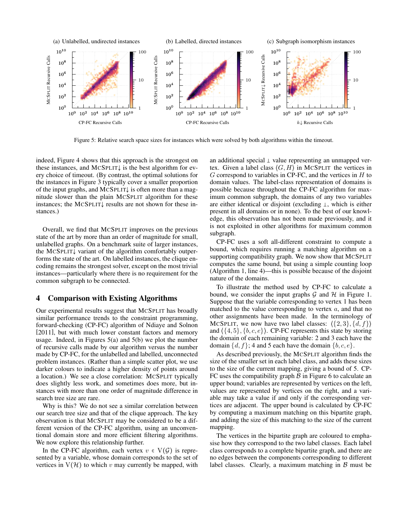

Figure 5: Relative search space sizes for instances which were solved by both algorithms within the timeout.

indeed, Figure 4 shows that this approach is the strongest on these instances, and MCSPLIT↓ is the best algorithm for every choice of timeout. (By contrast, the optimal solutions for the instances in Figure 3 typically cover a smaller proportion of the input graphs, and MCSPLIT↓ is often more than a magnitude slower than the plain MCSPLIT algorithm for these instances; the MCSPLIT↓ results are not shown for these instances.)

Overall, we find that MCSPLIT improves on the previous state of the art by more than an order of magnitude for small, unlabelled graphs. On a benchmark suite of larger instances, the MCSPLIT↓ variant of the algorithm comfortably outperforms the state of the art. On labelled instances, the clique encoding remains the strongest solver, except on the most trivial instances—particularly where there is no requirement for the common subgraph to be connected.

### 4 Comparison with Existing Algorithms

Our experimental results suggest that MCSPLIT has broadly similar performance trends to the constraint programming, forward-checking (CP-FC) algorithm of Ndiaye and Solnon [2011], but with much lower constant factors and memory usage. Indeed, in Figures 5(a) and 5(b) we plot the number of recursive calls made by our algorithm versus the number made by CP-FC, for the unlabelled and labelled, unconnected problem instances. (Rather than a simple scatter plot, we use darker colours to indicate a higher density of points around a location.) We see a close correlation: MCSPLIT typically does slightly less work, and sometimes does more, but instances with more than one order of magnitude difference in search tree size are rare.

Why is this? We do not see a similar correlation between our search tree size and that of the clique approach. The key observation is that MCSPLIT may be considered to be a different version of the CP-FC algorithm, using an unconventional domain store and more efficient filtering algorithms. We now explore this relationship further.

In the CP-FC algorithm, each vertex  $v \in V(G)$  is represented by a variable, whose domain corresponds to the set of vertices in  $V(\mathcal{H})$  to which v may currently be mapped, with an additional special  $\perp$  value representing an unmapped vertex. Given a label class  $\langle G, H \rangle$  in MCSPLIT the vertices in  $G$  correspond to variables in CP-FC, and the vertices in  $H$  to domain values. The label-class representation of domains is possible because throughout the CP-FC algorithm for maximum common subgraph, the domains of any two variables are either identical or disjoint (excluding  $\bot$ , which is either present in all domains or in none). To the best of our knowledge, this observation has not been made previously, and it is not exploited in other algorithms for maximum common subgraph.

CP-FC uses a soft all-different constraint to compute a bound, which requires running a matching algorithm on a supporting compatibility graph. We now show that MCSPLIT computes the same bound, but using a simple counting loop (Algorithm 1, line 4)—this is possible because of the disjoint nature of the domains.

To illustrate the method used by CP-FC to calculate a bound, we consider the input graphs  $\mathcal G$  and  $\mathcal H$  in Figure 1. Suppose that the variable corresponding to vertex 1 has been matched to the value corresponding to vertex  $a$ , and that no other assignments have been made. In the terminology of MCSPLIT, we now have two label classes:  $\langle \{2,3\}, \{d, f\} \rangle$ and  $\{\{4, 5\}, \{b, c, e\}\)$ . CP-FC represents this state by storing the domain of each remaining variable: 2 and 3 each have the domain  $\{d, f\}$ ; 4 and 5 each have the domain  $\{b, c, e\}$ .

As described previously, the MCSPLIT algorithm finds the size of the smaller set in each label class, and adds these sizes to the size of the current mapping, giving a bound of 5. CP-FC uses the compatibility graph  $\beta$  in Figure 6 to calculate an upper bound; variables are represented by vertices on the left, values are represented by vertices on the right, and a variable may take a value if and only if the corresponding vertices are adjacent. The upper bound is calculated by CP-FC by computing a maximum matching on this bipartite graph, and adding the size of this matching to the size of the current mapping.

The vertices in the bipartite graph are coloured to emphasise how they correspond to the two label classes. Each label class corresponds to a complete bipartite graph, and there are no edges between the components corresponding to different label classes. Clearly, a maximum matching in  $\beta$  must be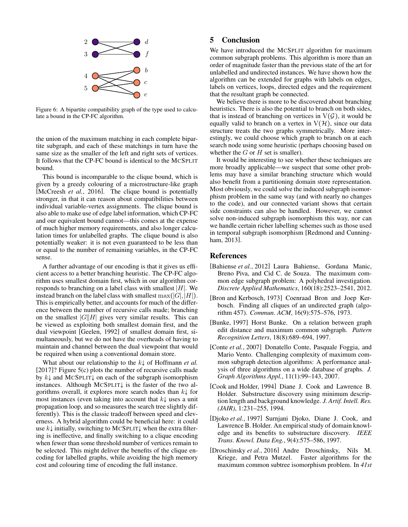

Figure 6: A bipartite compatibility graph of the type used to calculate a bound in the CP-FC algorithm.

the union of the maximum matching in each complete bipartite subgraph, and each of these matchings in turn have the same size as the smaller of the left and right sets of vertices. It follows that the CP-FC bound is identical to the MCSPLIT bound.

This bound is incomparable to the clique bound, which is given by a greedy colouring of a microstructure-like graph [McCreesh *et al.*, 2016]. The clique bound is potentially stronger, in that it can reason about compatibilities between individual variable-vertex assignments. The clique bound is also able to make use of edge label information, which CP-FC and our equivalent bound cannot—this comes at the expense of much higher memory requirements, and also longer calculation times for unlabelled graphs. The clique bound is also potentially weaker: it is not even guaranteed to be less than or equal to the number of remaining variables, in the CP-FC sense.

A further advantage of our encoding is that it gives us efficient access to a better branching heuristic. The CP-FC algorithm uses smallest domain first, which in our algorithm corresponds to branching on a label class with smallest ∣H∣. We instead branch on the label class with smallest max $(|G|, |H|)$ . This is empirically better, and accounts for much of the difference between the number of recursive calls made; branching on the smallest ∣G∣∣H∣ gives very similar results. This can be viewed as exploiting both smallest domain first, and the dual viewpoint [Geelen, 1992] of smallest domain first, simultaneously, but we do not have the overheads of having to maintain and channel between the dual viewpoint that would be required when using a conventional domain store.

What about our relationship to the k↓ of Hoffmann *et al.* [2017]? Figure 5(c) plots the number of recursive calls made by  $k\downarrow$  and MCSPLIT $\downarrow$  on each of the subgraph isomorphism instances. Although MCSPLIT↓ is the faster of the two algorithms overall, it explores more search nodes than  $k\downarrow$  for most instances (even taking into account that  $k\downarrow$  uses a unit propagation loop, and so measures the search tree slightly differently). This is the classic tradeoff between speed and cleverness. A hybrid algorithm could be beneficial here: it could use  $k\downarrow$  initially, switching to MCSPLIT $\downarrow$  when the extra filtering is ineffective, and finally switching to a clique encoding when fewer than some threshold number of vertices remain to be selected. This might deliver the benefits of the clique encoding for labelled graphs, while avoiding the high memory cost and colouring time of encoding the full instance.

## 5 Conclusion

We have introduced the MCSPLIT algorithm for maximum common subgraph problems. This algorithm is more than an order of magnitude faster than the previous state of the art for unlabelled and undirected instances. We have shown how the algorithm can be extended for graphs with labels on edges, labels on vertices, loops, directed edges and the requirement that the resultant graph be connected.

We believe there is more to be discovered about branching heuristics. There is also the potential to branch on both sides, that is instead of branching on vertices in  $V(G)$ , it would be equally valid to branch on a vertex in  $V(\mathcal{H})$ , since our data structure treats the two graphs symmetrically. More interestingly, we could choose which graph to branch on at each search node using some heuristic (perhaps choosing based on whether the  $G$  or  $H$  set is smaller).

It would be interesting to see whether these techniques are more broadly applicable—we suspect that some other problems may have a similar branching structure which would also benefit from a partitioning domain store representation. Most obviously, we could solve the induced subgraph isomorphism problem in the same way (and with nearly no changes to the code), and our connected variant shows that certain side constraints can also be handled. However, we cannot solve non-induced subgraph isomorphism this way, nor can we handle certain richer labelling schemes such as those used in temporal subgraph isomorphism [Redmond and Cunningham, 2013].

### References

- [Bahiense *et al.*, 2012] Laura Bahiense, Gordana Manic, Breno Piva, and Cid C. de Souza. The maximum common edge subgraph problem: A polyhedral investigation. *Discrete Applied Mathematics*, 160(18):2523–2541, 2012.
- [Bron and Kerbosch, 1973] Coenraad Bron and Joep Kerbosch. Finding all cliques of an undirected graph (algorithm 457). *Commun. ACM*, 16(9):575–576, 1973.
- [Bunke, 1997] Horst Bunke. On a relation between graph edit distance and maximum common subgraph. *Pattern Recognition Letters*, 18(8):689–694, 1997.
- [Conte *et al.*, 2007] Donatello Conte, Pasquale Foggia, and Mario Vento. Challenging complexity of maximum common subgraph detection algorithms: A performance analysis of three algorithms on a wide database of graphs. *J. Graph Algorithms Appl.*, 11(1):99–143, 2007.
- [Cook and Holder, 1994] Diane J. Cook and Lawrence B. Holder. Substructure discovery using minimum description length and background knowledge. *J. Artif. Intell. Res. (JAIR)*, 1:231–255, 1994.
- [Djoko *et al.*, 1997] Surnjani Djoko, Diane J. Cook, and Lawrence B. Holder. An empirical study of domain knowledge and its benefits to substructure discovery. *IEEE Trans. Knowl. Data Eng.*, 9(4):575–586, 1997.
- [Droschinsky *et al.*, 2016] Andre Droschinsky, Nils M. Kriege, and Petra Mutzel. Faster algorithms for the maximum common subtree isomorphism problem. In *41st*